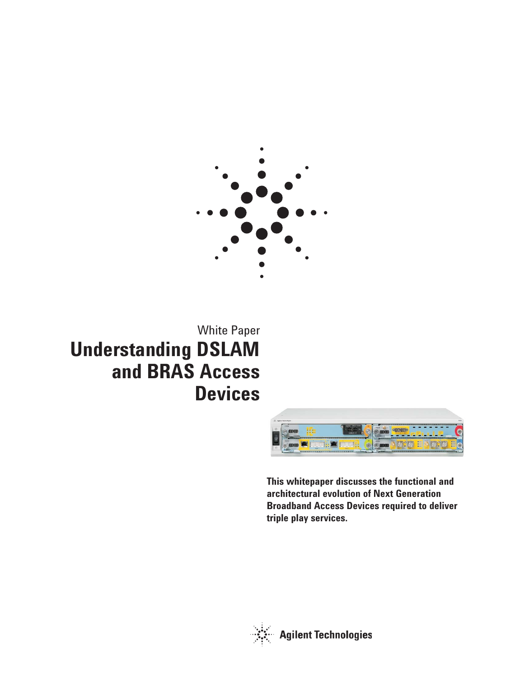

**Understanding DSLAM and BRAS Access Devices** White Paper



**This whitepaper discusses the functional and architectural evolution of Next Generation Broadband Access Devices required to deliver triple play services.** 

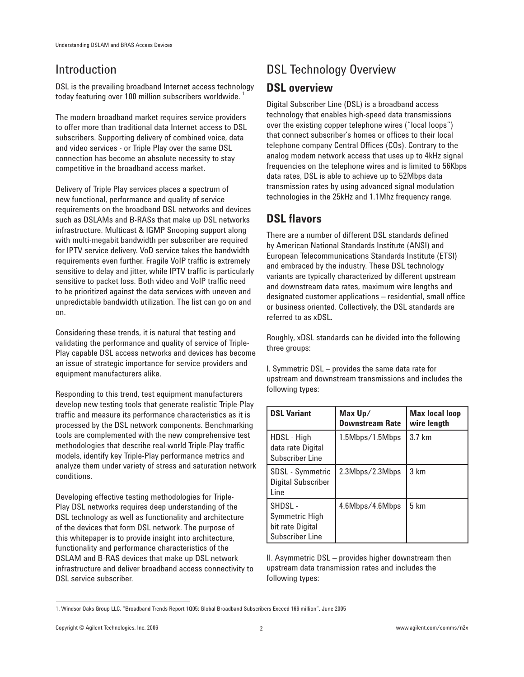# Introduction

DSL is the prevailing broadband Internet access technology today featuring over 100 million subscribers worldwide.

The modern broadband market requires service providers to offer more than traditional data Internet access to DSL subscribers. Supporting delivery of combined voice, data and video services - or Triple Play over the same DSL connection has become an absolute necessity to stay competitive in the broadband access market.

Delivery of Triple Play services places a spectrum of new functional, performance and quality of service requirements on the broadband DSL networks and devices such as DSLAMs and B-RASs that make up DSL networks infrastructure. Multicast & IGMP Snooping support along with multi-megabit bandwidth per subscriber are required for IPTV service delivery. VoD service takes the bandwidth requirements even further. Fragile VoIP traffic is extremely sensitive to delay and jitter, while IPTV traffic is particularly sensitive to packet loss. Both video and VoIP traffic need to be prioritized against the data services with uneven and unpredictable bandwidth utilization. The list can go on and on.

Considering these trends, it is natural that testing and validating the performance and quality of service of Triple-Play capable DSL access networks and devices has become an issue of strategic importance for service providers and equipment manufacturers alike.

Responding to this trend, test equipment manufacturers develop new testing tools that generate realistic Triple-Play traffic and measure its performance characteristics as it is processed by the DSL network components. Benchmarking tools are complemented with the new comprehensive test methodologies that describe real-world Triple-Play traffic models, identify key Triple-Play performance metrics and analyze them under variety of stress and saturation network conditions.

Developing effective testing methodologies for Triple-Play DSL networks requires deep understanding of the DSL technology as well as functionality and architecture of the devices that form DSL network. The purpose of this whitepaper is to provide insight into architecture, functionality and performance characteristics of the DSLAM and B-RAS devices that make up DSL network infrastructure and deliver broadband access connectivity to DSL service subscriber.

# DSL Technology Overview

# **DSL overview**

Digital Subscriber Line (DSL) is a broadband access technology that enables high-speed data transmissions over the existing copper telephone wires ("local loops") that connect subscriber's homes or offices to their local telephone company Central Offices (COs). Contrary to the analog modem network access that uses up to 4kHz signal frequencies on the telephone wires and is limited to 56Kbps data rates, DSL is able to achieve up to 52Mbps data transmission rates by using advanced signal modulation technologies in the 25kHz and 1.1Mhz frequency range.

# **DSL flavors**

There are a number of different DSL standards defined by American National Standards Institute (ANSI) and European Telecommunications Standards Institute (ETSI) and embraced by the industry. These DSL technology variants are typically characterized by different upstream and downstream data rates, maximum wire lengths and designated customer applications – residential, small office or business oriented. Collectively, the DSL standards are referred to as xDSL.

Roughly, xDSL standards can be divided into the following three groups:

I. Symmetric DSL – provides the same data rate for upstream and downstream transmissions and includes the following types:

| <b>DSL Variant</b>                                                     | Max $Up/$<br><b>Downstream Rate</b> | <b>Max local loop</b><br>wire length |
|------------------------------------------------------------------------|-------------------------------------|--------------------------------------|
| HDSL - High<br>data rate Digital<br>Subscriber Line                    | 1.5Mbps/1.5Mbps                     | $3.7 \text{ km}$                     |
| SDSL - Symmetric<br>Digital Subscriber<br>Line                         | 2.3Mbps/2.3Mbps                     | 3 km                                 |
| SHDSL-<br>Symmetric High<br>bit rate Digital<br><b>Subscriber Line</b> | 4.6Mbps/4.6Mbps                     | $5 \; \mathrm{km}$                   |

II. Asymmetric DSL – provides higher downstream then upstream data transmission rates and includes the following types:

<sup>1.</sup> Windsor Oaks Group LLC. "Broadband Trends Report 1Q05: Global Broadband Subscribers Exceed 166 million", June 2005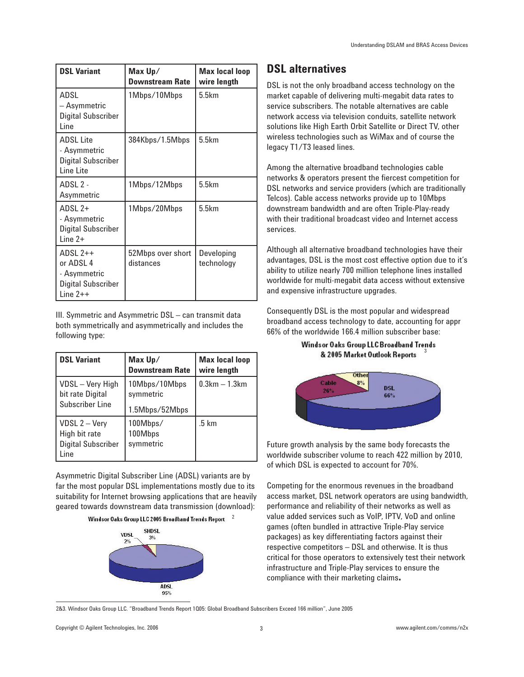| <b>DSL Variant</b>                                                                 | Max $Up/$<br><b>Downstream Rate</b> | <b>Max local loop</b><br>wire length |
|------------------------------------------------------------------------------------|-------------------------------------|--------------------------------------|
| ADSL<br>– Asymmetric<br><b>Digital Subscriber</b><br>Line                          | 1Mbps/10Mbps                        | 5.5km                                |
| <b>ADSL Lite</b><br>- Asymmetric<br><b>Digital Subscriber</b><br>Line Lite         | 384Kbps/1.5Mbps                     | 5.5km                                |
| ADSL 2 -<br>Asymmetric                                                             | 1Mbps/12Mbps                        | 5.5km                                |
| $ADSL2+$<br>- Asymmetric<br><b>Digital Subscriber</b><br>Line $2+$                 | 1Mbps/20Mbps                        | 5.5km                                |
| ADSL $2++$<br>or ADSL 4<br>- Asymmetric<br><b>Digital Subscriber</b><br>Line $2++$ | 52Mbps over short<br>distances      | Developing<br>technology             |

III. Symmetric and Asymmetric DSL – can transmit data both symmetrically and asymmetrically and includes the following type:

| <b>DSL Variant</b>                                                   | Max $Up/$<br><b>Downstream Rate</b>          | <b>Max local loop</b><br>wire length |
|----------------------------------------------------------------------|----------------------------------------------|--------------------------------------|
| VDSL - Very High<br>bit rate Digital<br>Subscriber Line              | 10Mbps/10Mbps<br>symmetric<br>1.5Mbps/52Mbps | $0.3km - 1.3km$                      |
| VDSL 2 - Very<br>High bit rate<br><b>Digital Subscriber</b><br>l ine | 100Mbps/<br>100Mbps<br>symmetric             | .5 km                                |

Asymmetric Digital Subscriber Line (ADSL) variants are by far the most popular DSL implementations mostly due to its suitability for Internet browsing applications that are heavily geared towards downstream data transmission (download):





### **DSL alternatives**

DSL is not the only broadband access technology on the market capable of delivering multi-megabit data rates to service subscribers. The notable alternatives are cable network access via television conduits, satellite network solutions like High Earth Orbit Satellite or Direct TV, other wireless technologies such as WiMax and of course the legacy T1/T3 leased lines.

Among the alternative broadband technologies cable networks & operators present the fiercest competition for DSL networks and service providers (which are traditionally Telcos). Cable access networks provide up to 10Mbps downstream bandwidth and are often Triple-Play-ready with their traditional broadcast video and Internet access services.

Although all alternative broadband technologies have their advantages, DSL is the most cost effective option due to it's ability to utilize nearly 700 million telephone lines installed worldwide for multi-megabit data access without extensive and expensive infrastructure upgrades.

Consequently DSL is the most popular and widespread broadband access technology to date, accounting for appr 66% of the worldwide 166.4 million subscriber base:

Windsor Oaks Group LLC Broadband Trends 3& 2005 Market Outlook Reports



Future growth analysis by the same body forecasts the worldwide subscriber volume to reach 422 million by 2010, of which DSL is expected to account for 70%.

Competing for the enormous revenues in the broadband access market, DSL network operators are using bandwidth, performance and reliability of their networks as well as value added services such as VoIP, IPTV, VoD and online games (often bundled in attractive Triple-Play service packages) as key differentiating factors against their respective competitors – DSL and otherwise. It is thus critical for those operators to extensively test their network infrastructure and Triple-Play services to ensure the compliance with their marketing claims**.**

2&3. Windsor Oaks Group LLC. "Broadband Trends Report 1Q05: Global Broadband Subscribers Exceed 166 million", June 2005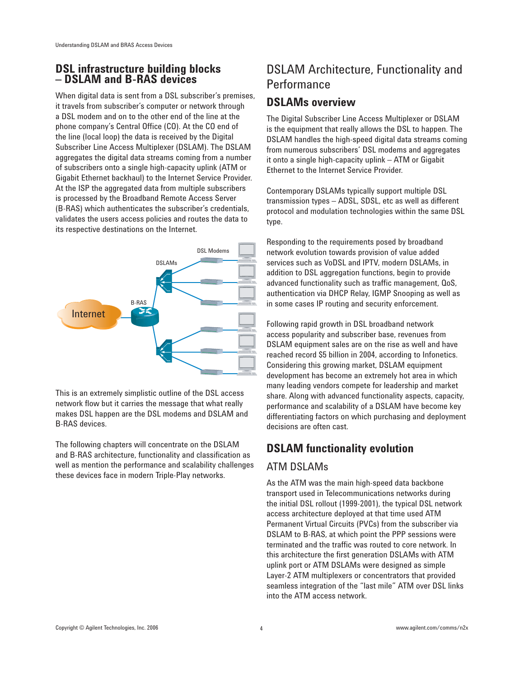### **DSL infrastructure building blocks – DSLAM and B-RAS devices**

When digital data is sent from a DSL subscriber's premises, it travels from subscriber's computer or network through a DSL modem and on to the other end of the line at the phone company's Central Office (CO). At the CO end of the line (local loop) the data is received by the Digital Subscriber Line Access Multiplexer (DSLAM). The DSLAM aggregates the digital data streams coming from a number of subscribers onto a single high-capacity uplink (ATM or Gigabit Ethernet backhaul) to the Internet Service Provider. At the ISP the aggregated data from multiple subscribers is processed by the Broadband Remote Access Server (B-RAS) which authenticates the subscriber's credentials, validates the users access policies and routes the data to its respective destinations on the Internet.



This is an extremely simplistic outline of the DSL access network flow but it carries the message that what really makes DSL happen are the DSL modems and DSLAM and B-RAS devices.

The following chapters will concentrate on the DSLAM and B-RAS architecture, functionality and classification as well as mention the performance and scalability challenges these devices face in modern Triple-Play networks.

# DSLAM Architecture, Functionality and **Performance**

# **DSLAMs overview**

The Digital Subscriber Line Access Multiplexer or DSLAM is the equipment that really allows the DSL to happen. The DSLAM handles the high-speed digital data streams coming from numerous subscribers' DSL modems and aggregates it onto a single high-capacity uplink – ATM or Gigabit Ethernet to the Internet Service Provider.

Contemporary DSLAMs typically support multiple DSL transmission types – ADSL, SDSL, etc as well as different protocol and modulation technologies within the same DSL type.

Responding to the requirements posed by broadband network evolution towards provision of value added services such as VoDSL and IPTV, modern DSLAMs, in addition to DSL aggregation functions, begin to provide advanced functionality such as traffic management, QoS, authentication via DHCP Relay, IGMP Snooping as well as in some cases IP routing and security enforcement.

Following rapid growth in DSL broadband network access popularity and subscriber base, revenues from DSLAM equipment sales are on the rise as well and have reached record \$5 billion in 2004, according to Infonetics. Considering this growing market, DSLAM equipment development has become an extremely hot area in which many leading vendors compete for leadership and market share. Along with advanced functionality aspects, capacity, performance and scalability of a DSLAM have become key differentiating factors on which purchasing and deployment decisions are often cast.

# **DSLAM functionality evolution**

# ATM DSLAMs

As the ATM was the main high-speed data backbone transport used in Telecommunications networks during the initial DSL rollout (1999-2001), the typical DSL network access architecture deployed at that time used ATM Permanent Virtual Circuits (PVCs) from the subscriber via DSLAM to B-RAS, at which point the PPP sessions were terminated and the traffic was routed to core network. In this architecture the first generation DSLAMs with ATM uplink port or ATM DSLAMs were designed as simple Layer-2 ATM multiplexers or concentrators that provided seamless integration of the "last mile" ATM over DSL links into the ATM access network.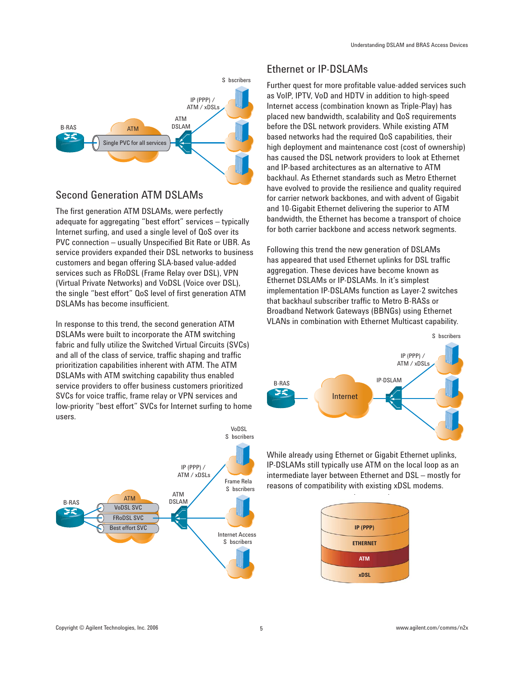

#### Second Generation ATM DSLAMs

The first generation ATM DSLAMs, were perfectly adequate for aggregating "best effort" services – typically Internet surfing, and used a single level of QoS over its PVC connection – usually Unspecified Bit Rate or UBR. As service providers expanded their DSL networks to business customers and began offering SLA-based value-added services such as FRoDSL (Frame Relay over DSL), VPN (Virtual Private Networks) and VoDSL (Voice over DSL), the single "best effort" QoS level of first generation ATM DSLAMs has become insufficient.

In response to this trend, the second generation ATM DSLAMs were built to incorporate the ATM switching fabric and fully utilize the Switched Virtual Circuits (SVCs) and all of the class of service, traffic shaping and traffic prioritization capabilities inherent with ATM. The ATM DSLAMs with ATM switching capability thus enabled service providers to offer business customers prioritized SVCs for voice traffic, frame relay or VPN services and low-priority "best effort" SVCs for Internet surfing to home users.



#### Ethernet or IP-DSLAMs

Further quest for more profitable value-added services such as VoIP, IPTV, VoD and HDTV in addition to high-speed Internet access (combination known as Triple-Play) has placed new bandwidth, scalability and QoS requirements before the DSL network providers. While existing ATM based networks had the required QoS capabilities, their high deployment and maintenance cost (cost of ownership) has caused the DSL network providers to look at Ethernet and IP-based architectures as an alternative to ATM backhaul. As Ethernet standards such as Metro Ethernet have evolved to provide the resilience and quality required for carrier network backbones, and with advent of Gigabit and 10-Gigabit Ethernet delivering the superior to ATM bandwidth, the Ethernet has become a transport of choice for both carrier backbone and access network segments.

Following this trend the new generation of DSLAMs has appeared that used Ethernet uplinks for DSL traffic aggregation. These devices have become known as Ethernet DSLAMs or IP-DSLAMs. In it's simplest implementation IP-DSLAMs function as Layer-2 switches that backhaul subscriber traffic to Metro B-RASs or Broadband Network Gateways (BBNGs) using Ethernet VLANs in combination with Ethernet Multicast capability.



While already using Ethernet or Gigabit Ethernet uplinks, IP-DSLAMs still typically use ATM on the local loop as an intermediate layer between Ethernet and DSL – mostly for reasons of compatibility with existing xDSL modems.

| IP (PPP)        |  |
|-----------------|--|
| <b>ETHERNET</b> |  |
| <b>ATM</b>      |  |
| <b>xDSL</b>     |  |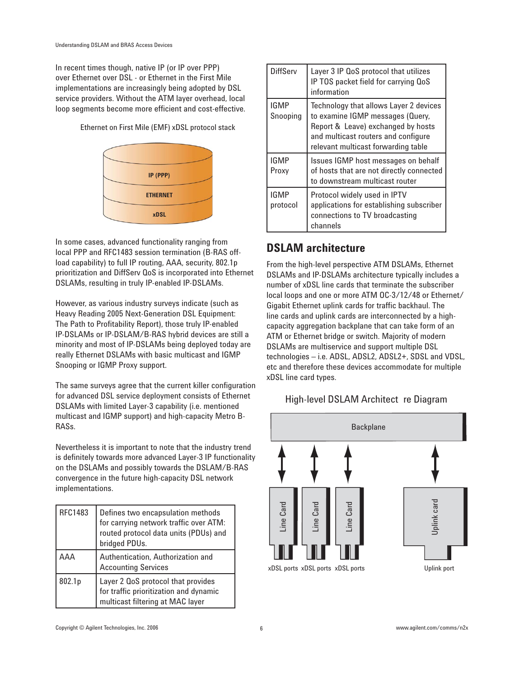In recent times though, native IP (or IP over PPP) over Ethernet over DSL - or Ethernet in the First Mile implementations are increasingly being adopted by DSL service providers. Without the ATM layer overhead, local loop segments become more efficient and cost-effective.

Ethernet on First Mile (EMF) xDSL protocol stack



In some cases, advanced functionality ranging from local PPP and RFC1483 session termination (B-RAS offload capability) to full IP routing, AAA, security, 802.1p prioritization and DiffServ QoS is incorporated into Ethernet DSLAMs, resulting in truly IP-enabled IP-DSLAMs.

However, as various industry surveys indicate (such as Heavy Reading 2005 Next-Generation DSL Equipment: The Path to Profitability Report), those truly IP-enabled IP-DSLAMs or IP-DSLAM/B-RAS hybrid devices are still a minority and most of IP-DSLAMs being deployed today are really Ethernet DSLAMs with basic multicast and IGMP Snooping or IGMP Proxy support.

The same surveys agree that the current killer configuration for advanced DSL service deployment consists of Ethernet DSLAMs with limited Layer-3 capability (i.e. mentioned multicast and IGMP support) and high-capacity Metro B-RASs.

Nevertheless it is important to note that the industry trend is definitely towards more advanced Layer-3 IP functionality on the DSLAMs and possibly towards the DSLAM/B-RAS convergence in the future high-capacity DSL network implementations.

| <b>RFC1483</b> | Defines two encapsulation methods<br>for carrying network traffic over ATM:<br>routed protocol data units (PDUs) and<br>bridged PDUs. |
|----------------|---------------------------------------------------------------------------------------------------------------------------------------|
| AAA            | Authentication, Authorization and<br><b>Accounting Services</b>                                                                       |
| 802.1p         | Layer 2 QoS protocol that provides<br>for traffic prioritization and dynamic<br>multicast filtering at MAC layer                      |

| DiffServ                | Layer 3 IP QoS protocol that utilizes<br>IP TOS packet field for carrying QoS<br>information                                                                                                   |
|-------------------------|------------------------------------------------------------------------------------------------------------------------------------------------------------------------------------------------|
| <b>IGMP</b><br>Snooping | Technology that allows Layer 2 devices<br>to examine IGMP messages (Query,<br>Report & Leave) exchanged by hosts<br>and multicast routers and configure<br>relevant multicast forwarding table |
| <b>IGMP</b><br>Proxy    | Issues IGMP host messages on behalf<br>of hosts that are not directly connected<br>to downstream multicast router                                                                              |
| <b>IGMP</b><br>protocol | Protocol widely used in IPTV<br>applications for establishing subscriber<br>connections to TV broadcasting<br>channels                                                                         |

# **DSLAM architecture**

From the high-level perspective ATM DSLAMs, Ethernet DSLAMs and IP-DSLAMs architecture typically includes a number of xDSL line cards that terminate the subscriber local loops and one or more ATM OC-3/12/48 or Ethernet/ Gigabit Ethernet uplink cards for traffic backhaul. The line cards and uplink cards are interconnected by a highcapacity aggregation backplane that can take form of an ATM or Ethernet bridge or switch. Majority of modern DSLAMs are multiservice and support multiple DSL technologies – i.e. ADSL, ADSL2, ADSL2+, SDSL and VDSL, etc and therefore these devices accommodate for multiple xDSL line card types.

### High-level DSLAM Architect re Diagram

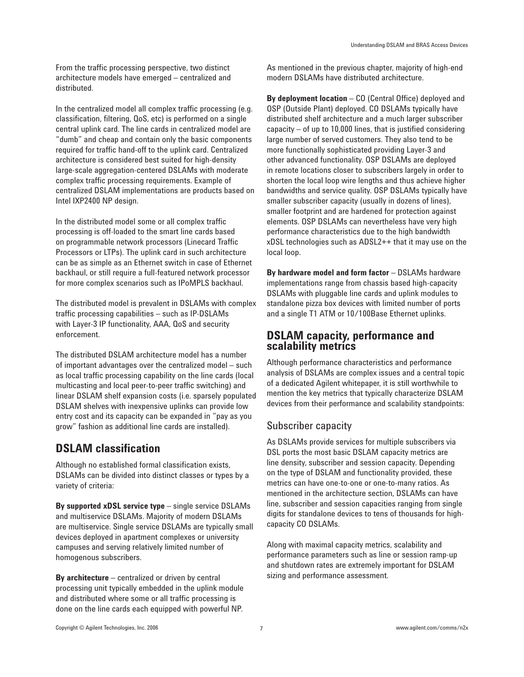From the traffic processing perspective, two distinct architecture models have emerged – centralized and distributed.

In the centralized model all complex traffic processing (e.g. classification, filtering, QoS, etc) is performed on a single central uplink card. The line cards in centralized model are "dumb" and cheap and contain only the basic components required for traffic hand-off to the uplink card. Centralized architecture is considered best suited for high-density large-scale aggregation-centered DSLAMs with moderate complex traffic processing requirements. Example of centralized DSLAM implementations are products based on Intel IXP2400 NP design.

In the distributed model some or all complex traffic processing is off-loaded to the smart line cards based on programmable network processors (Linecard Traffic Processors or LTPs). The uplink card in such architecture can be as simple as an Ethernet switch in case of Ethernet backhaul, or still require a full-featured network processor for more complex scenarios such as IPoMPLS backhaul.

The distributed model is prevalent in DSLAMs with complex traffic processing capabilities – such as IP-DSLAMs with Layer-3 IP functionality, AAA, QoS and security enforcement.

The distributed DSLAM architecture model has a number of important advantages over the centralized model – such as local traffic processing capability on the line cards (local multicasting and local peer-to-peer traffic switching) and linear DSLAM shelf expansion costs (i.e. sparsely populated DSLAM shelves with inexpensive uplinks can provide low entry cost and its capacity can be expanded in "pay as you grow" fashion as additional line cards are installed).

# **DSLAM classification**

Although no established formal classification exists, DSLAMs can be divided into distinct classes or types by a variety of criteria:

**By supported xDSL service type** – single service DSLAMs and multiservice DSLAMs. Majority of modern DSLAMs are multiservice. Single service DSLAMs are typically small devices deployed in apartment complexes or university campuses and serving relatively limited number of homogenous subscribers.

**By architecture** – centralized or driven by central processing unit typically embedded in the uplink module and distributed where some or all traffic processing is done on the line cards each equipped with powerful NP.

As mentioned in the previous chapter, majority of high-end modern DSLAMs have distributed architecture.

**By deployment location** – CO (Central Office) deployed and OSP (Outside Plant) deployed. CO DSLAMs typically have distributed shelf architecture and a much larger subscriber capacity – of up to 10,000 lines, that is justified considering large number of served customers. They also tend to be more functionally sophisticated providing Layer-3 and other advanced functionality. OSP DSLAMs are deployed in remote locations closer to subscribers largely in order to shorten the local loop wire lengths and thus achieve higher bandwidths and service quality. OSP DSLAMs typically have smaller subscriber capacity (usually in dozens of lines), smaller footprint and are hardened for protection against elements. OSP DSLAMs can nevertheless have very high performance characteristics due to the high bandwidth xDSL technologies such as ADSL2++ that it may use on the local loop.

**By hardware model and form factor** – DSLAMs hardware implementations range from chassis based high-capacity DSLAMs with pluggable line cards and uplink modules to standalone pizza box devices with limited number of ports and a single T1 ATM or 10/100Base Ethernet uplinks.

#### **DSLAM capacity, performance and scalability metrics**

Although performance characteristics and performance analysis of DSLAMs are complex issues and a central topic of a dedicated Agilent whitepaper, it is still worthwhile to mention the key metrics that typically characterize DSLAM devices from their performance and scalability standpoints:

### Subscriber capacity

As DSLAMs provide services for multiple subscribers via DSL ports the most basic DSLAM capacity metrics are line density, subscriber and session capacity. Depending on the type of DSLAM and functionality provided, these metrics can have one-to-one or one-to-many ratios. As mentioned in the architecture section, DSLAMs can have line, subscriber and session capacities ranging from single digits for standalone devices to tens of thousands for highcapacity CO DSLAMs.

Along with maximal capacity metrics, scalability and performance parameters such as line or session ramp-up and shutdown rates are extremely important for DSLAM sizing and performance assessment.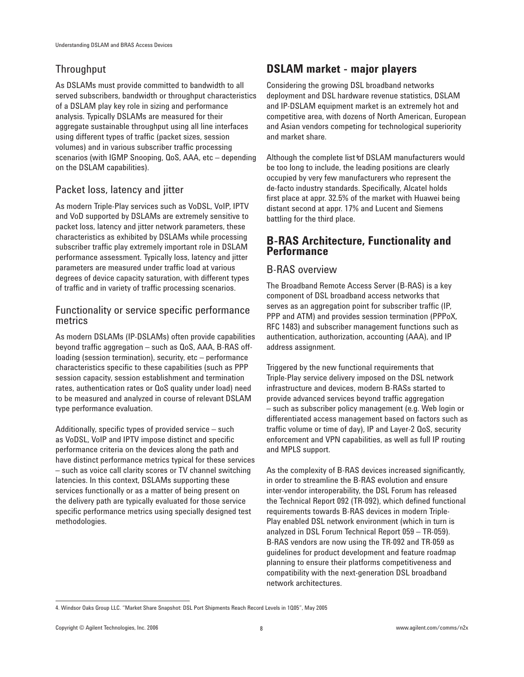# **Throughput**

As DSLAMs must provide committed to bandwidth to all served subscribers, bandwidth or throughput characteristics of a DSLAM play key role in sizing and performance analysis. Typically DSLAMs are measured for their aggregate sustainable throughput using all line interfaces using different types of traffic (packet sizes, session volumes) and in various subscriber traffic processing scenarios (with IGMP Snooping, QoS, AAA, etc – depending on the DSLAM capabilities).

## Packet loss, latency and jitter

As modern Triple-Play services such as VoDSL, VoIP, IPTV and VoD supported by DSLAMs are extremely sensitive to packet loss, latency and jitter network parameters, these characteristics as exhibited by DSLAMs while processing subscriber traffic play extremely important role in DSLAM performance assessment. Typically loss, latency and jitter parameters are measured under traffic load at various degrees of device capacity saturation, with different types of traffic and in variety of traffic processing scenarios.

#### Functionality or service specific performance metrics

As modern DSLAMs (IP-DSLAMs) often provide capabilities beyond traffic aggregation – such as QoS, AAA, B-RAS offloading (session termination), security, etc – performance characteristics specific to these capabilities (such as PPP session capacity, session establishment and termination rates, authentication rates or QoS quality under load) need to be measured and analyzed in course of relevant DSLAM type performance evaluation.

Additionally, specific types of provided service – such as VoDSL, VoIP and IPTV impose distinct and specific performance criteria on the devices along the path and have distinct performance metrics typical for these services – such as voice call clarity scores or TV channel switching latencies. In this context, DSLAMs supporting these services functionally or as a matter of being present on the delivery path are typically evaluated for those service specific performance metrics using specially designed test methodologies.

# **DSLAM market - major players**

Considering the growing DSL broadband networks deployment and DSL hardware revenue statistics, DSLAM and IP-DSLAM equipment market is an extremely hot and competitive area, with dozens of North American, European and Asian vendors competing for technological superiority and market share.

Although the complete list of DSLAM manufacturers would be too long to include, the leading positions are clearly occupied by very few manufacturers who represent the de-facto industry standards. Specifically, Alcatel holds first place at appr. 32.5% of the market with Huawei being distant second at appr. 17% and Lucent and Siemens battling for the third place.

## **B-RAS Architecture, Functionality and Performance**

### B-RAS overview

The Broadband Remote Access Server (B-RAS) is a key component of DSL broadband access networks that serves as an aggregation point for subscriber traffic (IP, PPP and ATM) and provides session termination (PPPoX, RFC 1483) and subscriber management functions such as authentication, authorization, accounting (AAA), and IP address assignment.

Triggered by the new functional requirements that Triple-Play service delivery imposed on the DSL network infrastructure and devices, modern B-RASs started to provide advanced services beyond traffic aggregation – such as subscriber policy management (e.g. Web login or differentiated access management based on factors such as traffic volume or time of day), IP and Layer-2 QoS, security enforcement and VPN capabilities, as well as full IP routing and MPLS support.

As the complexity of B-RAS devices increased significantly, in order to streamline the B-RAS evolution and ensure inter-vendor interoperability, the DSL Forum has released the Technical Report 092 (TR-092), which defined functional requirements towards B-RAS devices in modern Triple-Play enabled DSL network environment (which in turn is analyzed in DSL Forum Technical Report 059 – TR-059). B-RAS vendors are now using the TR-092 and TR-059 as guidelines for product development and feature roadmap planning to ensure their platforms competitiveness and compatibility with the next-generation DSL broadband network architectures.

<sup>4.</sup> Windsor Oaks Group LLC. "Market Share Snapshot: DSL Port Shipments Reach Record Levels in 1Q05", May 2005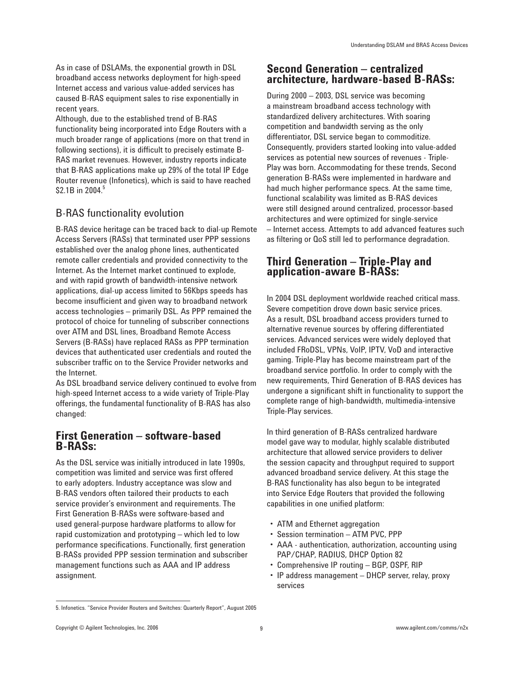As in case of DSLAMs, the exponential growth in DSL broadband access networks deployment for high-speed Internet access and various value-added services has caused B-RAS equipment sales to rise exponentially in recent years.

Although, due to the established trend of B-RAS functionality being incorporated into Edge Routers with a much broader range of applications (more on that trend in following sections), it is difficult to precisely estimate B-RAS market revenues. However, industry reports indicate that B-RAS applications make up 29% of the total IP Edge Router revenue (Infonetics), which is said to have reached \$2.1B in 2004.<sup>5</sup>

# B-RAS functionality evolution

B-RAS device heritage can be traced back to dial-up Remote Access Servers (RASs) that terminated user PPP sessions established over the analog phone lines, authenticated remote caller credentials and provided connectivity to the Internet. As the Internet market continued to explode, and with rapid growth of bandwidth-intensive network applications, dial-up access limited to 56Kbps speeds has become insufficient and given way to broadband network access technologies – primarily DSL. As PPP remained the protocol of choice for tunneling of subscriber connections over ATM and DSL lines, Broadband Remote Access Servers (B-RASs) have replaced RASs as PPP termination devices that authenticated user credentials and routed the subscriber traffic on to the Service Provider networks and the Internet.

As DSL broadband service delivery continued to evolve from high-speed Internet access to a wide variety of Triple-Play offerings, the fundamental functionality of B-RAS has also changed:

### **First Generation – software-based B-RASs:**

As the DSL service was initially introduced in late 1990s, competition was limited and service was first offered to early adopters. Industry acceptance was slow and B-RAS vendors often tailored their products to each service provider's environment and requirements. The First Generation B-RASs were software-based and used general-purpose hardware platforms to allow for rapid customization and prototyping – which led to low performance specifications. Functionally, first generation B-RASs provided PPP session termination and subscriber management functions such as AAA and IP address assignment.

#### **Second Generation – centralized architecture, hardware-based B-RASs:**

During 2000 – 2003, DSL service was becoming a mainstream broadband access technology with standardized delivery architectures. With soaring competition and bandwidth serving as the only differentiator, DSL service began to commoditize. Consequently, providers started looking into value-added services as potential new sources of revenues - Triple-Play was born. Accommodating for these trends, Second generation B-RASs were implemented in hardware and had much higher performance specs. At the same time, functional scalability was limited as B-RAS devices were still designed around centralized, processor-based architectures and were optimized for single-service – Internet access. Attempts to add advanced features such as filtering or QoS still led to performance degradation.

### **Third Generation – Triple-Play and application-aware B-RASs:**

In 2004 DSL deployment worldwide reached critical mass. Severe competition drove down basic service prices. As a result, DSL broadband access providers turned to alternative revenue sources by offering differentiated services. Advanced services were widely deployed that included FRoDSL, VPNs, VoIP, IPTV, VoD and interactive gaming. Triple-Play has become mainstream part of the broadband service portfolio. In order to comply with the new requirements, Third Generation of B-RAS devices has undergone a significant shift in functionality to support the complete range of high-bandwidth, multimedia-intensive Triple-Play services.

In third generation of B-RASs centralized hardware model gave way to modular, highly scalable distributed architecture that allowed service providers to deliver the session capacity and throughput required to support advanced broadband service delivery. At this stage the B-RAS functionality has also begun to be integrated into Service Edge Routers that provided the following capabilities in one unified platform:

- ATM and Ethernet aggregation •
- Session termination ATM PVC, PPP
- AAA authentication, authorization, accounting using PAP/CHAP, RADIUS, DHCP Option 82
- Comprehensive IP routing BGP, OSPF, RIP
- IP address management DHCP server, relay, proxy services

<sup>5.</sup> Infonetics. "Service Provider Routers and Switches: Quarterly Report", August 2005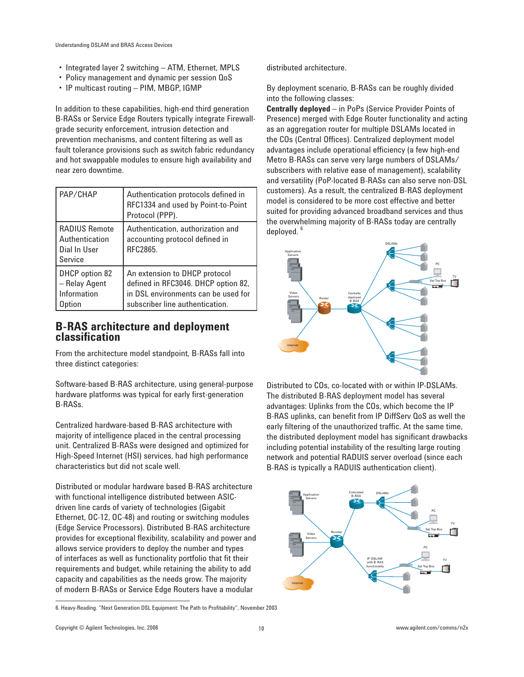- Integrated layer 2 switching ATM, Ethernet, MPLS
- Policy management and dynamic per session QoS
- IP multicast routing PIM, MBGP, IGMP

In addition to these capabilities, high-end third generation B-RASs or Service Edge Routers typically integrate Firewallgrade security enforcement, intrusion detection and prevention mechanisms, and content filtering as well as fault tolerance provisions such as switch fabric redundancy and hot swappable modules to ensure high availability and near zero downtime.

| PAP/CHAP                                                          | Authentication protocols defined in<br>RFC1334 and used by Point-to-Point<br>Protocol (PPP).                                                   |
|-------------------------------------------------------------------|------------------------------------------------------------------------------------------------------------------------------------------------|
| <b>RADIUS Remote</b><br>Authentication<br>Dial In User<br>Service | Authentication, authorization and<br>accounting protocol defined in<br>RFC2865.                                                                |
| DHCP option 82<br>- Relay Agent<br>Information<br>Option          | An extension to DHCP protocol<br>defined in RFC3046. DHCP option 82,<br>in DSL environments can be used for<br>subscriber line authentication. |

### **B-RAS architecture and deployment classification**

From the architecture model standpoint, B-RASs fall into three distinct categories:

Software-based B-RAS architecture, using general-purpose hardware platforms was typical for early first-generation B-RASs.

Centralized hardware-based B-RAS architecture with majority of intelligence placed in the central processing unit. Centralized B-RASs were designed and optimized for High-Speed Internet (HSI) services, had high performance characteristics but did not scale well.

Distributed or modular hardware based B-RAS architecture with functional intelligence distributed between ASICdriven line cards of variety of technologies (Gigabit Ethernet, OC-12, OC-48) and routing or switching modules (Edge Service Processors). Distributed B-RAS architecture provides for exceptional flexibility, scalability and power and allows service providers to deploy the number and types of interfaces as well as functionality portfolio that fit their requirements and budget, while retaining the ability to add capacity and capabilities as the needs grow. The majority of modern B-RASs or Service Edge Routers have a modular

distributed architecture.

By deployment scenario, B-RASs can be roughly divided into the following classes:

**Centrally deployed** – in PoPs (Service Provider Points of Presence) merged with Edge Router functionality and acting as an aggregation router for multiple DSLAMs located in the COs (Central Offices). Centralized deployment model advantages include operational efficiency (a few high-end Metro B-RASs can serve very large numbers of DSLAMs/ subscribers with relative ease of management), scalability and versatility (PoP-located B-RASs can also serve non-DSL customers). As a result, the centralized B-RAS deployment model is considered to be more cost effective and better suited for providing advanced broadband services and thus the overwhelming majority of B-RASs today are centrally deployed.<sup>6</sup>



Distributed to COs, co-located with or within IP-DSLAMs. The distributed B-RAS deployment model has several advantages: Uplinks from the COs, which become the IP B-RAS uplinks, can benefit from IP DiffServ QoS as well the early filtering of the unauthorized traffic. At the same time, the distributed deployment model has significant drawbacks including potential instability of the resulting large routing network and potential RADUIS server overload (since each B-RAS is typically a RADUIS authentication client).



<sup>6.</sup> Heavy-Reading. "Next Generation DSL Equipment: The Path to Profitability", November 2003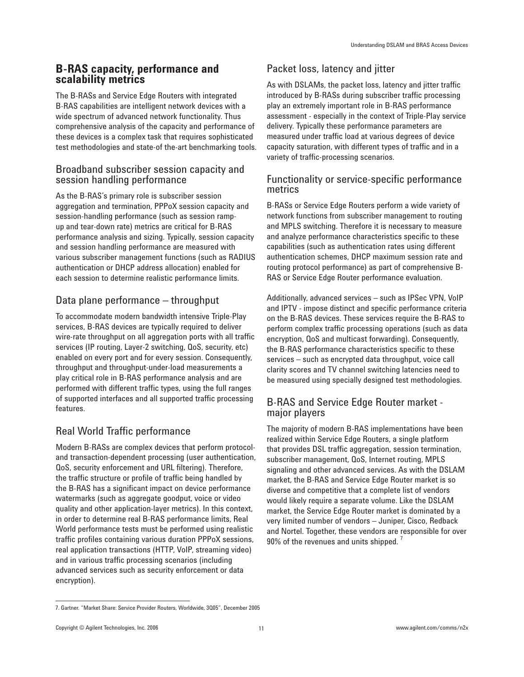### **B-RAS capacity, performance and scalability metrics**

The B-RASs and Service Edge Routers with integrated B-RAS capabilities are intelligent network devices with a wide spectrum of advanced network functionality. Thus comprehensive analysis of the capacity and performance of these devices is a complex task that requires sophisticated test methodologies and state-of the-art benchmarking tools.

#### Broadband subscriber session capacity and session handling performance

As the B-RAS's primary role is subscriber session aggregation and termination, PPPoX session capacity and session-handling performance (such as session rampup and tear-down rate) metrics are critical for B-RAS performance analysis and sizing. Typically, session capacity and session handling performance are measured with various subscriber management functions (such as RADIUS authentication or DHCP address allocation) enabled for each session to determine realistic performance limits.

# Data plane performance – throughput

To accommodate modern bandwidth intensive Triple-Play services, B-RAS devices are typically required to deliver wire-rate throughput on all aggregation ports with all traffic services (IP routing, Layer-2 switching, QoS, security, etc) enabled on every port and for every session. Consequently, throughput and throughput-under-load measurements a play critical role in B-RAS performance analysis and are performed with different traffic types, using the full ranges of supported interfaces and all supported traffic processing features.

# Real World Traffic performance

Modern B-RASs are complex devices that perform protocoland transaction-dependent processing (user authentication, QoS, security enforcement and URL filtering). Therefore, the traffic structure or profile of traffic being handled by the B-RAS has a significant impact on device performance watermarks (such as aggregate goodput, voice or video quality and other application-layer metrics). In this context, in order to determine real B-RAS performance limits, Real World performance tests must be performed using realistic traffic profiles containing various duration PPPoX sessions, real application transactions (HTTP, VoIP, streaming video) and in various traffic processing scenarios (including advanced services such as security enforcement or data encryption).

## Packet loss, latency and jitter

As with DSLAMs, the packet loss, latency and jitter traffic introduced by B-RASs during subscriber traffic processing play an extremely important role in B-RAS performance assessment - especially in the context of Triple-Play service delivery. Typically these performance parameters are measured under traffic load at various degrees of device capacity saturation, with different types of traffic and in a variety of traffic-processing scenarios.

### Functionality or service-specific performance metrics

B-RASs or Service Edge Routers perform a wide variety of network functions from subscriber management to routing and MPLS switching. Therefore it is necessary to measure and analyze performance characteristics specific to these capabilities (such as authentication rates using different authentication schemes, DHCP maximum session rate and routing protocol performance) as part of comprehensive B-RAS or Service Edge Router performance evaluation.

Additionally, advanced services – such as IPSec VPN, VoIP and IPTV - impose distinct and specific performance criteria on the B-RAS devices. These services require the B-RAS to perform complex traffic processing operations (such as data encryption, QoS and multicast forwarding). Consequently, the B-RAS performance characteristics specific to these services – such as encrypted data throughput, voice call clarity scores and TV channel switching latencies need to be measured using specially designed test methodologies.

### B-RAS and Service Edge Router market major players

The majority of modern B-RAS implementations have been realized within Service Edge Routers, a single platform that provides DSL traffic aggregation, session termination, subscriber management, QoS, Internet routing, MPLS signaling and other advanced services. As with the DSLAM market, the B-RAS and Service Edge Router market is so diverse and competitive that a complete list of vendors would likely require a separate volume. Like the DSLAM market, the Service Edge Router market is dominated by a very limited number of vendors – Juniper, Cisco, Redback and Nortel. Together, these vendors are responsible for over 90% of the revenues and units shipped.<sup>7</sup>

<sup>7.</sup> Gartner. "Market Share: Service Provider Routers, Worldwide, 3Q05", December 2005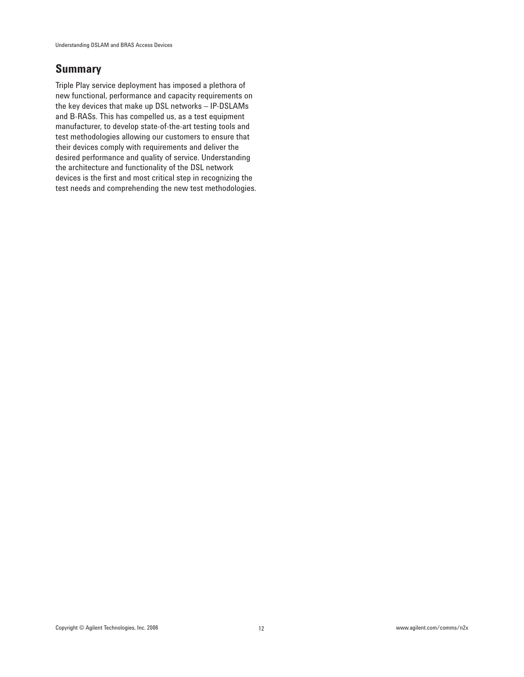Understanding DSLAM and BRAS Access Devices

# **Summary**

Triple Play service deployment has imposed a plethora of new functional, performance and capacity requirements on the key devices that make up DSL networks – IP-DSLAMs and B-RASs. This has compelled us, as a test equipment manufacturer, to develop state-of-the-art testing tools and test methodologies allowing our customers to ensure that their devices comply with requirements and deliver the desired performance and quality of service. Understanding the architecture and functionality of the DSL network devices is the first and most critical step in recognizing the test needs and comprehending the new test methodologies.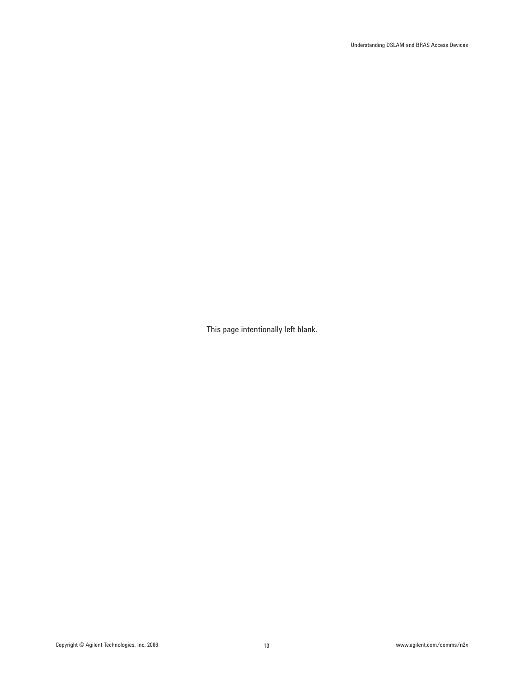This page intentionally left blank.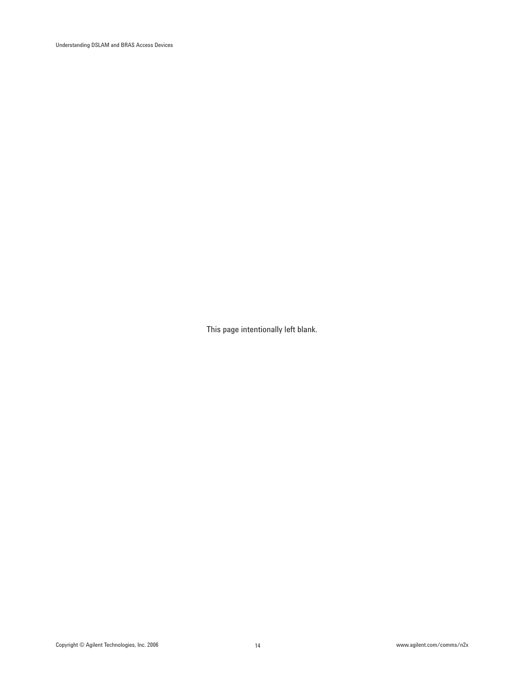Understanding DSLAM and BRAS Access Devices

This page intentionally left blank.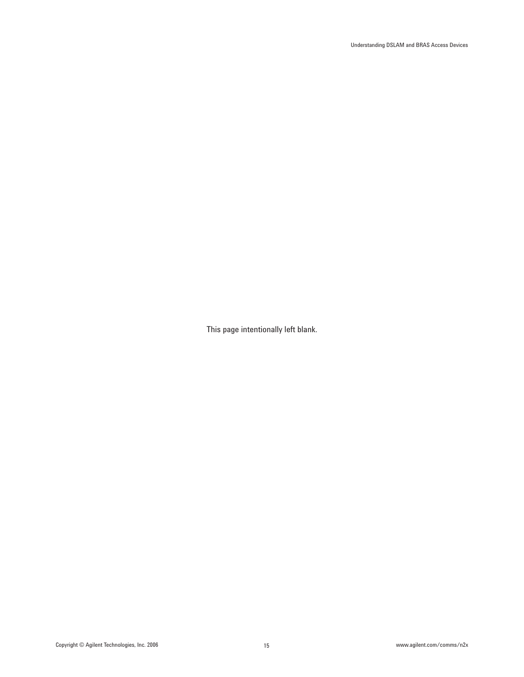This page intentionally left blank.